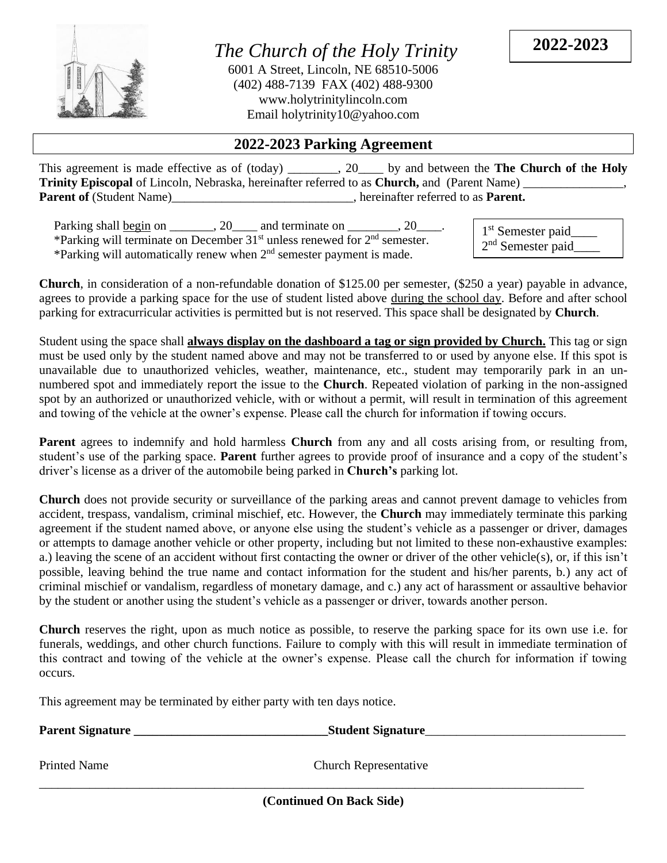

*The Church of the Holy Trinity* 6001 A Street, Lincoln, NE 68510-5006 (402) 488-7139 FAX (402) 488-9300 www.holytrinitylincoln.com Email holytrinity10@yahoo.com

**2022-2023**

## **2022-2023 Parking Agreement**

This agreement is made effective as of (today)  $\qquad \qquad$ , 20 by and between the **The Church of the Holy Trinity Episcopal of Lincoln, Nebraska, hereinafter referred to as <b>Church**, and (Parent Name) Parent of (Student Name)\_\_\_\_\_\_\_\_\_\_\_\_\_\_\_\_\_\_\_\_\_\_\_\_\_, hereinafter referred to as Parent.

| Parking shall begin on _______, 20____                                        | and terminate on | $-20$ |
|-------------------------------------------------------------------------------|------------------|-------|
| *Parking will terminate on December $31st$ unless renewed for $2nd$ semester. |                  |       |
| *Parking will automatically renew when $2nd$ semester payment is made.        |                  |       |

1<sup>st</sup> Semester paid\_\_\_\_ 2<sup>nd</sup> Semester paid\_\_\_\_

**Church**, in consideration of a non-refundable donation of \$125.00 per semester, (\$250 a year) payable in advance, agrees to provide a parking space for the use of student listed above during the school day. Before and after school parking for extracurricular activities is permitted but is not reserved. This space shall be designated by **Church**.

Student using the space shall **always display on the dashboard a tag or sign provided by Church.** This tag or sign must be used only by the student named above and may not be transferred to or used by anyone else. If this spot is unavailable due to unauthorized vehicles, weather, maintenance, etc., student may temporarily park in an unnumbered spot and immediately report the issue to the **Church**. Repeated violation of parking in the non-assigned spot by an authorized or unauthorized vehicle, with or without a permit, will result in termination of this agreement and towing of the vehicle at the owner's expense. Please call the church for information if towing occurs.

**Parent** agrees to indemnify and hold harmless **Church** from any and all costs arising from, or resulting from, student's use of the parking space. **Parent** further agrees to provide proof of insurance and a copy of the student's driver's license as a driver of the automobile being parked in **Church's** parking lot.

**Church** does not provide security or surveillance of the parking areas and cannot prevent damage to vehicles from accident, trespass, vandalism, criminal mischief, etc. However, the **Church** may immediately terminate this parking agreement if the student named above, or anyone else using the student's vehicle as a passenger or driver, damages or attempts to damage another vehicle or other property, including but not limited to these non-exhaustive examples: a.) leaving the scene of an accident without first contacting the owner or driver of the other vehicle(s), or, if this isn't possible, leaving behind the true name and contact information for the student and his/her parents, b.) any act of criminal mischief or vandalism, regardless of monetary damage, and c.) any act of harassment or assaultive behavior by the student or another using the student's vehicle as a passenger or driver, towards another person.

**Church** reserves the right, upon as much notice as possible, to reserve the parking space for its own use i.e. for funerals, weddings, and other church functions. Failure to comply with this will result in immediate termination of this contract and towing of the vehicle at the owner's expense. Please call the church for information if towing occurs.

This agreement may be terminated by either party with ten days notice.

**Parent Signature \_\_\_\_\_\_\_\_\_\_\_\_\_\_\_\_\_\_\_\_\_\_\_\_\_\_\_\_\_\_\_Student Signature**\_\_\_\_\_\_\_\_\_\_\_\_\_\_\_\_\_\_\_\_\_\_\_\_\_\_\_\_\_\_\_\_

Printed Name Church Representative

**(Continued On Back Side)**

\_\_\_\_\_\_\_\_\_\_\_\_\_\_\_\_\_\_\_\_\_\_\_\_\_\_\_\_\_\_\_\_\_\_\_\_\_\_\_\_\_\_\_\_\_\_\_\_\_\_\_\_\_\_\_\_\_\_\_\_\_\_\_\_\_\_\_\_\_\_\_\_\_\_\_\_\_\_\_\_\_\_\_\_\_\_\_